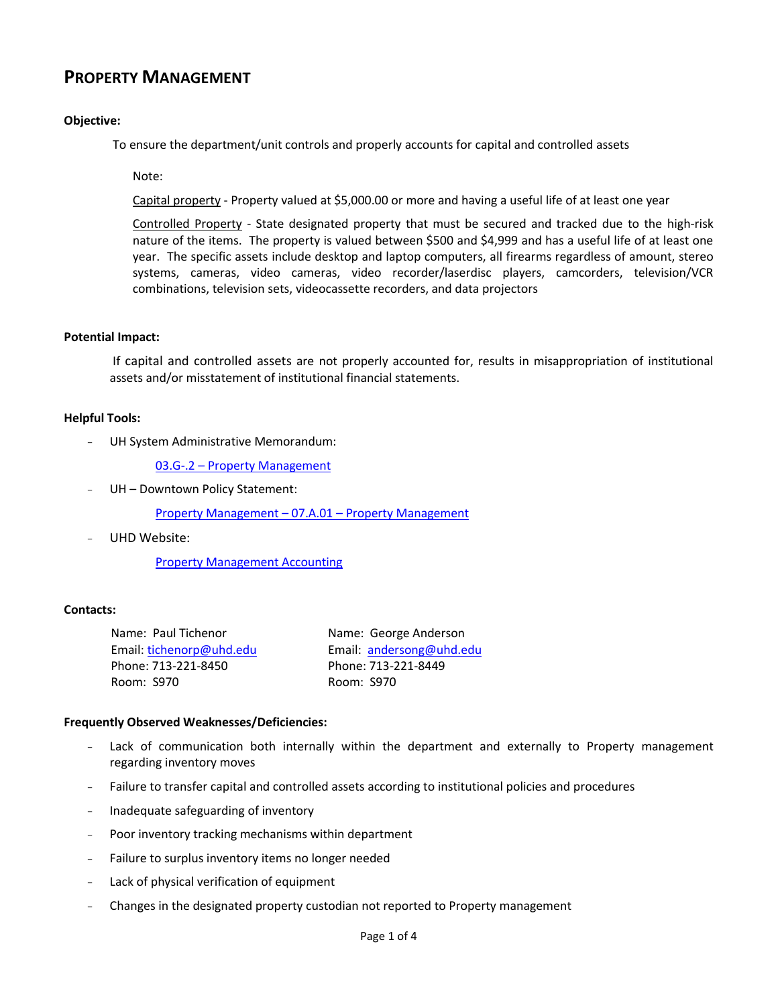# **PROPERTY MANAGEMENT**

## **Objective:**

To ensure the department/unit controls and properly accounts for capital and controlled assets

Note:

Capital property - Property valued at \$5,000.00 or more and having a useful life of at least one year

Controlled Property - State designated property that must be secured and tracked due to the high-risk nature of the items. The property is valued between \$500 and \$4,999 and has a useful life of at least one year. The specific assets include desktop and laptop computers, all firearms regardless of amount, stereo systems, cameras, video cameras, video recorder/laserdisc players, camcorders, television/VCR combinations, television sets, videocassette recorders, and data projectors

#### **Potential Impact:**

If capital and controlled assets are not properly accounted for, results in misappropriation of institutional assets and/or misstatement of institutional financial statements.

#### **Helpful Tools:**

UH System Administrative Memorandum:

03.G-.2 – [Property Management](http://www.uhsa.uh.edu/sam/3FicsalAffairs/3E2.pdf)

UH - Downtown Policy Statement:

[Property Management](http://www.uhd.edu/about/hr/PS07A01.pdf) – 07.A.01 – Property Management

UHD Website:

[Property Management Accounting](http://www.uhd.edu/facultyandstaff/busaff/PropertyManagementAccounting.html)

#### **Contacts:**

Name: Paul Tichenor Email: [tichenorp@uhd.edu](mailto:tichenorp@uhd.edu) Phone: 713-221-8450 Room: S970

Name: George Anderson Email: [andersong@uhd.edu](mailto:andersong@uhd.edu) Phone: 713-221-8449 Room: S970

#### **Frequently Observed Weaknesses/Deficiencies:**

- Lack of communication both internally within the department and externally to Property management regarding inventory moves
- Failure to transfer capital and controlled assets according to institutional policies and procedures
- Inadequate safeguarding of inventory
- Poor inventory tracking mechanisms within department
- Failure to surplus inventory items no longer needed
- Lack of physical verification of equipment
- Changes in the designated property custodian not reported to Property management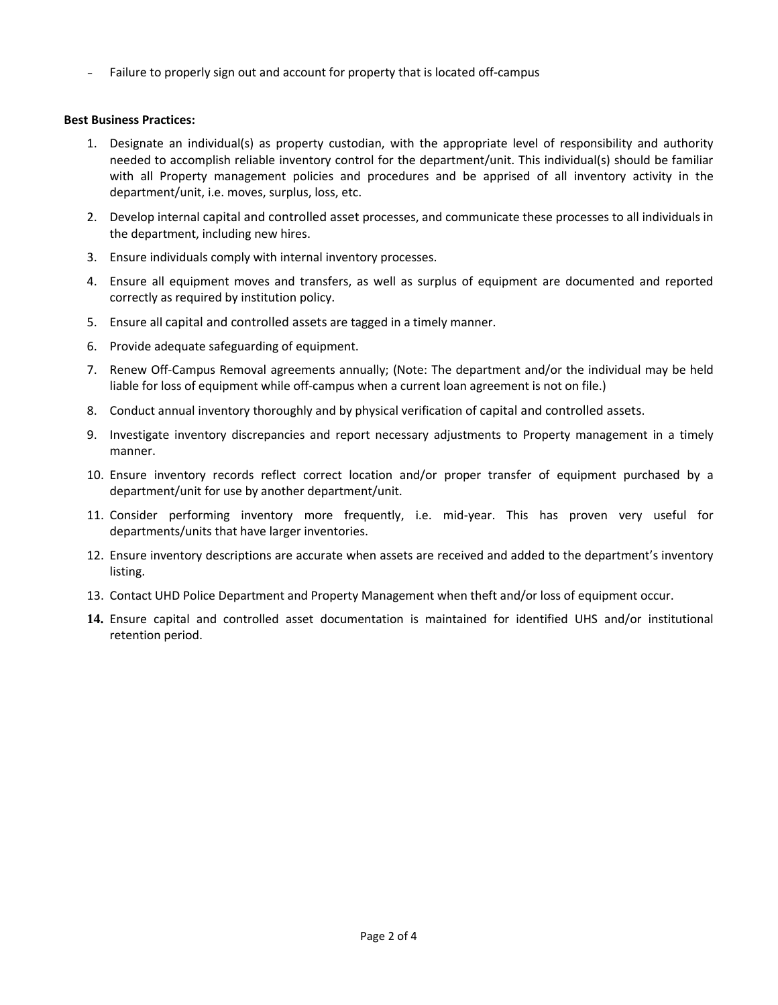- Failure to properly sign out and account for property that is located off-campus

## **Best Business Practices:**

- 1. Designate an individual(s) as property custodian, with the appropriate level of responsibility and authority needed to accomplish reliable inventory control for the department/unit. This individual(s) should be familiar with all Property management policies and procedures and be apprised of all inventory activity in the department/unit, i.e. moves, surplus, loss, etc.
- 2. Develop internal capital and controlled asset processes, and communicate these processes to all individuals in the department, including new hires.
- 3. Ensure individuals comply with internal inventory processes.
- 4. Ensure all equipment moves and transfers, as well as surplus of equipment are documented and reported correctly as required by institution policy.
- 5. Ensure all capital and controlled assets are tagged in a timely manner.
- 6. Provide adequate safeguarding of equipment.
- 7. Renew Off-Campus Removal agreements annually; (Note: The department and/or the individual may be held liable for loss of equipment while off-campus when a current loan agreement is not on file.)
- 8. Conduct annual inventory thoroughly and by physical verification of capital and controlled assets.
- 9. Investigate inventory discrepancies and report necessary adjustments to Property management in a timely manner.
- 10. Ensure inventory records reflect correct location and/or proper transfer of equipment purchased by a department/unit for use by another department/unit.
- 11. Consider performing inventory more frequently, i.e. mid-year. This has proven very useful for departments/units that have larger inventories.
- 12. Ensure inventory descriptions are accurate when assets are received and added to the department's inventory listing.
- 13. Contact UHD Police Department and Property Management when theft and/or loss of equipment occur.
- **14.** Ensure capital and controlled asset documentation is maintained for identified UHS and/or institutional retention period.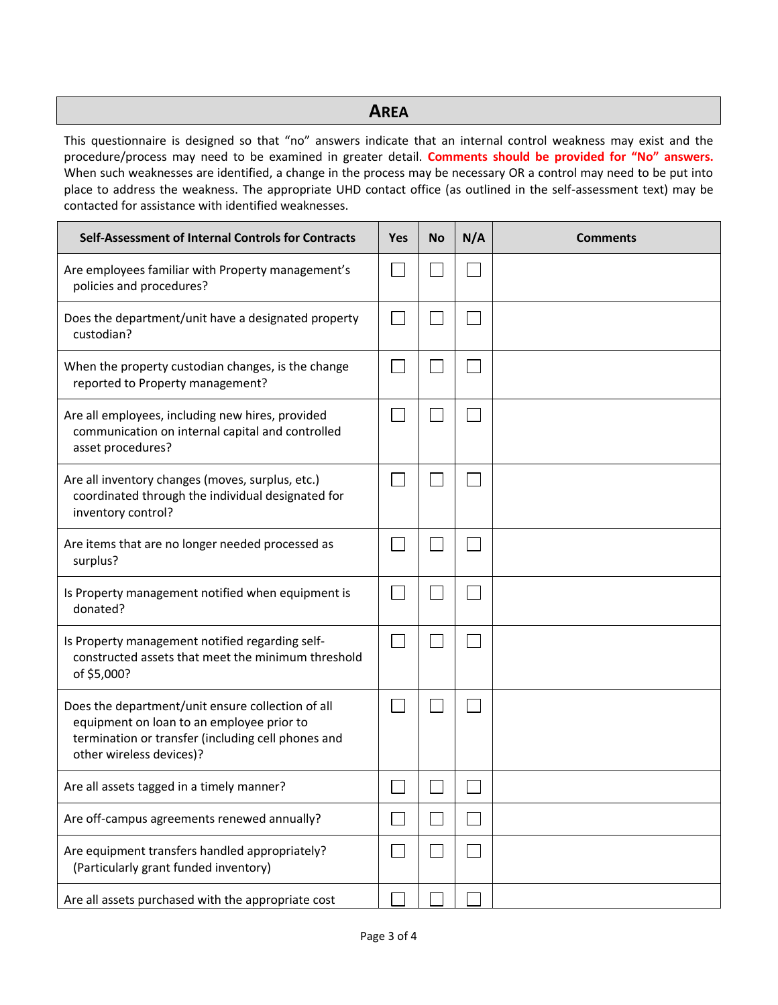# **AREA**

This questionnaire is designed so that "no" answers indicate that an internal control weakness may exist and the procedure/process may need to be examined in greater detail. **Comments should be provided for "No" answers.**  When such weaknesses are identified, a change in the process may be necessary OR a control may need to be put into place to address the weakness. The appropriate UHD contact office (as outlined in the self-assessment text) may be contacted for assistance with identified weaknesses.

| Self-Assessment of Internal Controls for Contracts                                                                                                                               | <b>Yes</b> | <b>No</b> | N/A | <b>Comments</b> |
|----------------------------------------------------------------------------------------------------------------------------------------------------------------------------------|------------|-----------|-----|-----------------|
| Are employees familiar with Property management's<br>policies and procedures?                                                                                                    |            |           |     |                 |
| Does the department/unit have a designated property<br>custodian?                                                                                                                |            |           |     |                 |
| When the property custodian changes, is the change<br>reported to Property management?                                                                                           |            |           |     |                 |
| Are all employees, including new hires, provided<br>communication on internal capital and controlled<br>asset procedures?                                                        |            |           |     |                 |
| Are all inventory changes (moves, surplus, etc.)<br>coordinated through the individual designated for<br>inventory control?                                                      |            |           |     |                 |
| Are items that are no longer needed processed as<br>surplus?                                                                                                                     |            |           |     |                 |
| Is Property management notified when equipment is<br>donated?                                                                                                                    |            |           |     |                 |
| Is Property management notified regarding self-<br>constructed assets that meet the minimum threshold<br>of \$5,000?                                                             |            |           |     |                 |
| Does the department/unit ensure collection of all<br>equipment on loan to an employee prior to<br>termination or transfer (including cell phones and<br>other wireless devices)? |            |           |     |                 |
| Are all assets tagged in a timely manner?                                                                                                                                        |            |           |     |                 |
| Are off-campus agreements renewed annually?                                                                                                                                      |            |           |     |                 |
| Are equipment transfers handled appropriately?<br>(Particularly grant funded inventory)                                                                                          |            |           |     |                 |
| Are all assets purchased with the appropriate cost                                                                                                                               |            |           |     |                 |